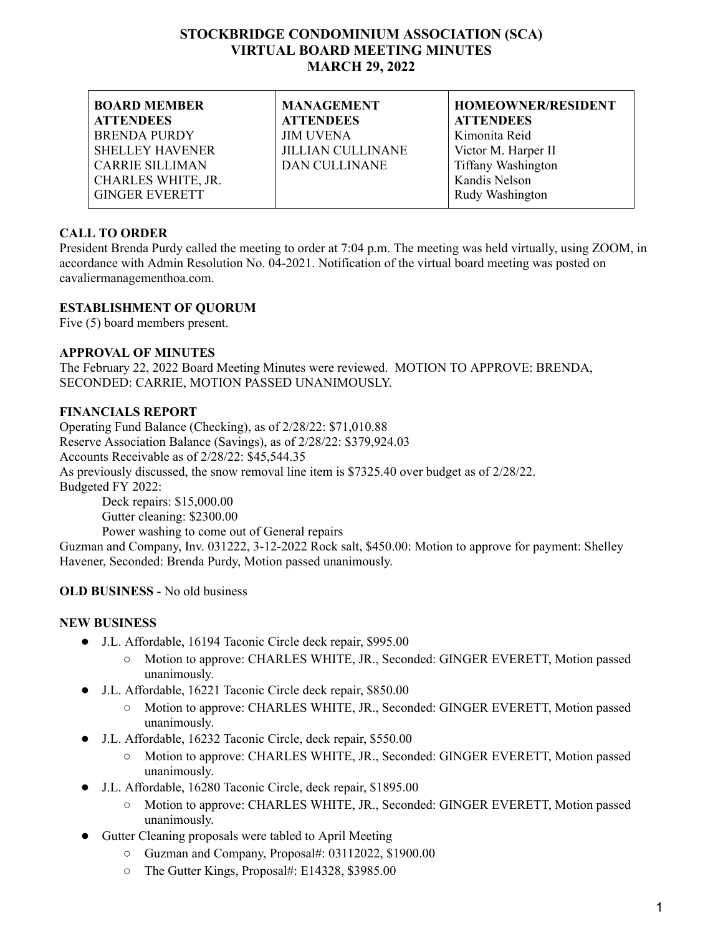## **STOCKBRIDGE CONDOMINIUM ASSOCIATION (SCA) VIRTUAL BOARD MEETING MINUTES MARCH 29, 2022**

| <b>BOARD MEMBER</b>    | <b>MANAGEMENT</b>        | <b>HOMEOWNER/RESIDENT</b> |
|------------------------|--------------------------|---------------------------|
| <b>ATTENDEES</b>       | <b>ATTENDEES</b>         | <b>ATTENDEES</b>          |
| <b>BRENDA PURDY</b>    | <b>JIM UVENA</b>         | Kimonita Reid             |
| <b>SHELLEY HAVENER</b> | <b>JILLIAN CULLINANE</b> | Victor M. Harper II       |
| <b>CARRIE SILLIMAN</b> | <b>DAN CULLINANE</b>     | <b>Tiffany Washington</b> |
| CHARLES WHITE, JR.     |                          | Kandis Nelson             |
| <b>GINGER EVERETT</b>  |                          | Rudy Washington           |
|                        |                          |                           |

## **CALL TO ORDER**

President Brenda Purdy called the meeting to order at 7:04 p.m. The meeting was held virtually, using ZOOM, in accordance with Admin Resolution No. 04-2021. Notification of the virtual board meeting was posted on cavaliermanagementhoa.com.

## **ESTABLISHMENT OF QUORUM**

Five (5) board members present.

#### **APPROVAL OF MINUTES**

The February 22, 2022 Board Meeting Minutes were reviewed. MOTION TO APPROVE: BRENDA, SECONDED: CARRIE, MOTION PASSED UNANIMOUSLY.

#### **FINANCIALS REPORT**

Operating Fund Balance (Checking), as of 2/28/22: \$71,010.88 Reserve Association Balance (Savings), as of 2/28/22: \$379,924.03 Accounts Receivable as of 2/28/22: \$45,544.35 As previously discussed, the snow removal line item is \$7325.40 over budget as of 2/28/22. Budgeted FY 2022: Deck repairs: \$15,000.00 Gutter cleaning: \$2300.00

Power washing to come out of General repairs Guzman and Company, Inv. 031222, 3-12-2022 Rock salt, \$450.00: Motion to approve for payment: Shelley Havener, Seconded: Brenda Purdy, Motion passed unanimously.

## **OLD BUSINESS** - No old business

#### **NEW BUSINESS**

- J.L. Affordable, 16194 Taconic Circle deck repair, \$995.00
	- Motion to approve: CHARLES WHITE, JR., Seconded: GINGER EVERETT, Motion passed unanimously.
- J.L. Affordable, 16221 Taconic Circle deck repair, \$850.00
	- Motion to approve: CHARLES WHITE, JR., Seconded: GINGER EVERETT, Motion passed unanimously.
- J.L. Affordable, 16232 Taconic Circle, deck repair, \$550.00
	- Motion to approve: CHARLES WHITE, JR., Seconded: GINGER EVERETT, Motion passed unanimously.
- J.L. Affordable, 16280 Taconic Circle, deck repair, \$1895.00
	- Motion to approve: CHARLES WHITE, JR., Seconded: GINGER EVERETT, Motion passed unanimously.
- Gutter Cleaning proposals were tabled to April Meeting
	- Guzman and Company, Proposal#: 03112022, \$1900.00
	- The Gutter Kings, Proposal#: E14328, \$3985.00